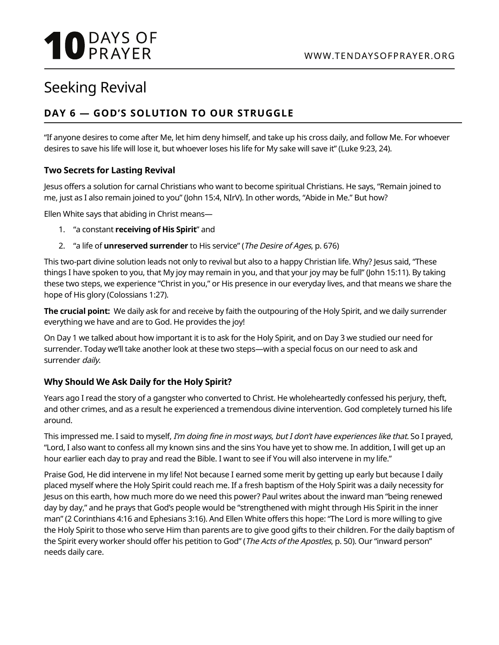# **10** DAYS OF

## Seeking Revival

### **DAY 6 — GOD'S SOLUTION TO OUR STRUGGLE**

"If anyone desires to come after Me, let him deny himself, and take up his cross daily, and follow Me. For whoever desires to save his life will lose it, but whoever loses his life for My sake will save it" (Luke 9:23, 24).

#### **Two Secrets for Lasting Revival**

Jesus offers a solution for carnal Christians who want to become spiritual Christians. He says, "Remain joined to me, just as I also remain joined to you" (John 15:4, NIrV). In other words, "Abide in Me." But how?

Ellen White says that abiding in Christ means—

- 1. "a constant **receiving of His Spirit**" and
- 2. "a life of **unreserved surrender** to His service" (The Desire of Ages, p. 676)

This two-part divine solution leads not only to revival but also to a happy Christian life. Why? Jesus said, "These things I have spoken to you, that My joy may remain in you, and that your joy may be full" (John 15:11). By taking these two steps, we experience "Christ in you," or His presence in our everyday lives, and that means we share the hope of His glory (Colossians 1:27).

**The crucial point:** We daily ask for and receive by faith the outpouring of the Holy Spirit, and we daily surrender everything we have and are to God. He provides the joy!

On Day 1 we talked about how important it is to ask for the Holy Spirit, and on Day 3 we studied our need for surrender. Today we'll take another look at these two steps—with a special focus on our need to ask and surrender daily.

#### **Why Should We Ask Daily for the Holy Spirit?**

Years ago I read the story of a gangster who converted to Christ. He wholeheartedly confessed his perjury, theft, and other crimes, and as a result he experienced a tremendous divine intervention. God completely turned his life around.

This impressed me. I said to myself, I'm doing fine in most ways, but I don't have experiences like that. So I prayed, "Lord, I also want to confess all my known sins and the sins You have yet to show me. In addition, I will get up an hour earlier each day to pray and read the Bible. I want to see if You will also intervene in my life."

Praise God, He did intervene in my life! Not because I earned some merit by getting up early but because I daily placed myself where the Holy Spirit could reach me. If a fresh baptism of the Holy Spirit was a daily necessity for Jesus on this earth, how much more do we need this power? Paul writes about the inward man "being renewed day by day," and he prays that God's people would be "strengthened with might through His Spirit in the inner man" (2 Corinthians 4:16 and Ephesians 3:16). And Ellen White offers this hope: "The Lord is more willing to give the Holy Spirit to those who serve Him than parents are to give good gifts to their children. For the daily baptism of the Spirit every worker should offer his petition to God" (The Acts of the Apostles, p. 50). Our "inward person" needs daily care.